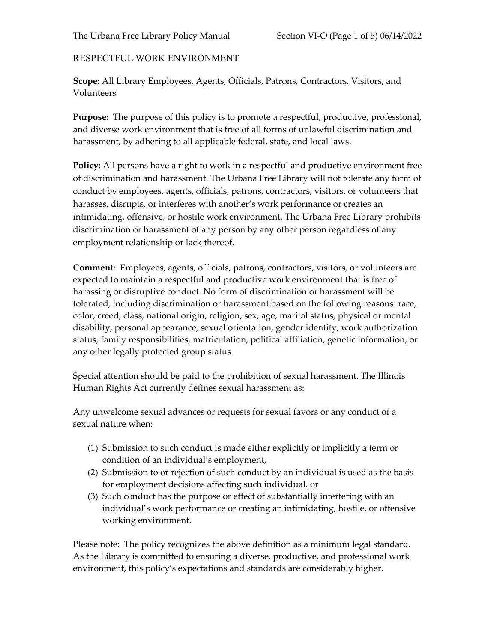The Urbana Free Library Policy Manual Section VI-O (Page 1 of 5) 06/14/2022

## RESPECTFUL WORK ENVIRONMENT

**Scope:** All Library Employees, Agents, Officials, Patrons, Contractors, Visitors, and Volunteers

**Purpose:** The purpose of this policy is to promote a respectful, productive, professional, and diverse work environment that is free of all forms of unlawful discrimination and harassment, by adhering to all applicable federal, state, and local laws.

**Policy:** All persons have a right to work in a respectful and productive environment free of discrimination and harassment. The Urbana Free Library will not tolerate any form of conduct by employees, agents, officials, patrons, contractors, visitors, or volunteers that harasses, disrupts, or interferes with another's work performance or creates an intimidating, offensive, or hostile work environment. The Urbana Free Library prohibits discrimination or harassment of any person by any other person regardless of any employment relationship or lack thereof.

**Comment**: Employees, agents, officials, patrons, contractors, visitors, or volunteers are expected to maintain a respectful and productive work environment that is free of harassing or disruptive conduct. No form of discrimination or harassment will be tolerated, including discrimination or harassment based on the following reasons: race, color, creed, class, national origin, religion, sex, age, marital status, physical or mental disability, personal appearance, sexual orientation, gender identity, work authorization status, family responsibilities, matriculation, political affiliation, genetic information, or any other legally protected group status.

Special attention should be paid to the prohibition of sexual harassment. The Illinois Human Rights Act currently defines sexual harassment as:

Any unwelcome sexual advances or requests for sexual favors or any conduct of a sexual nature when:

- (1) Submission to such conduct is made either explicitly or implicitly a term or condition of an individual's employment,
- (2) Submission to or rejection of such conduct by an individual is used as the basis for employment decisions affecting such individual, or
- (3) Such conduct has the purpose or effect of substantially interfering with an individual's work performance or creating an intimidating, hostile, or offensive working environment.

Please note: The policy recognizes the above definition as a minimum legal standard. As the Library is committed to ensuring a diverse, productive, and professional work environment, this policy's expectations and standards are considerably higher.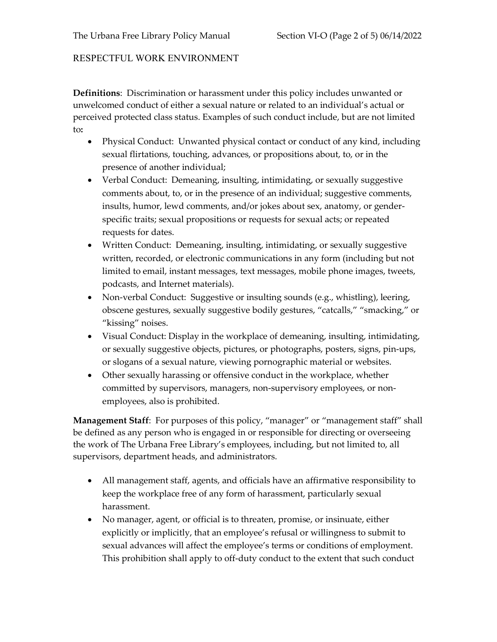## RESPECTFUL WORK ENVIRONMENT

**Definitions**: Discrimination or harassment under this policy includes unwanted or unwelcomed conduct of either a sexual nature or related to an individual's actual or perceived protected class status. Examples of such conduct include, but are not limited to**:**

- Physical Conduct: Unwanted physical contact or conduct of any kind, including sexual flirtations, touching, advances, or propositions about, to, or in the presence of another individual;
- Verbal Conduct: Demeaning, insulting, intimidating, or sexually suggestive comments about, to, or in the presence of an individual; suggestive comments, insults, humor, lewd comments, and/or jokes about sex, anatomy, or genderspecific traits; sexual propositions or requests for sexual acts; or repeated requests for dates.
- Written Conduct: Demeaning, insulting, intimidating, or sexually suggestive written, recorded, or electronic communications in any form (including but not limited to email, instant messages, text messages, mobile phone images, tweets, podcasts, and Internet materials).
- Non-verbal Conduct: Suggestive or insulting sounds (e.g., whistling), leering, obscene gestures, sexually suggestive bodily gestures, "catcalls," "smacking," or "kissing" noises.
- Visual Conduct: Display in the workplace of demeaning, insulting, intimidating, or sexually suggestive objects, pictures, or photographs, posters, signs, pin-ups, or slogans of a sexual nature, viewing pornographic material or websites.
- Other sexually harassing or offensive conduct in the workplace, whether committed by supervisors, managers, non-supervisory employees, or nonemployees, also is prohibited.

**Management Staff**: For purposes of this policy, "manager" or "management staff" shall be defined as any person who is engaged in or responsible for directing or overseeing the work of The Urbana Free Library's employees, including, but not limited to, all supervisors, department heads, and administrators.

- All management staff, agents, and officials have an affirmative responsibility to keep the workplace free of any form of harassment, particularly sexual harassment.
- No manager, agent, or official is to threaten, promise, or insinuate, either explicitly or implicitly, that an employee's refusal or willingness to submit to sexual advances will affect the employee's terms or conditions of employment. This prohibition shall apply to off-duty conduct to the extent that such conduct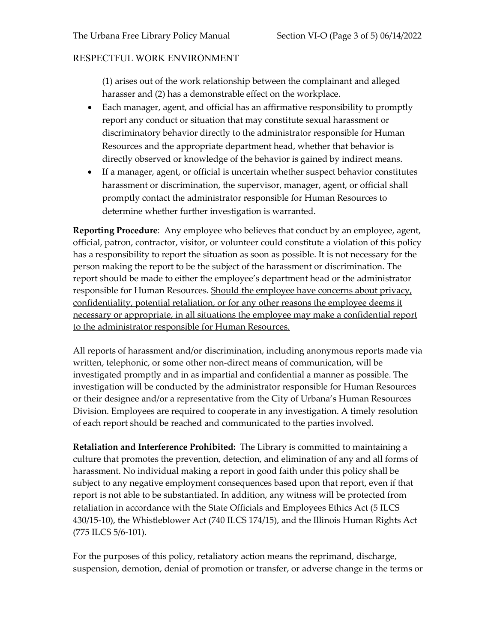## RESPECTFUL WORK ENVIRONMENT

(1) arises out of the work relationship between the complainant and alleged harasser and (2) has a demonstrable effect on the workplace.

- Each manager, agent, and official has an affirmative responsibility to promptly report any conduct or situation that may constitute sexual harassment or discriminatory behavior directly to the administrator responsible for Human Resources and the appropriate department head, whether that behavior is directly observed or knowledge of the behavior is gained by indirect means.
- If a manager, agent, or official is uncertain whether suspect behavior constitutes harassment or discrimination, the supervisor, manager, agent, or official shall promptly contact the administrator responsible for Human Resources to determine whether further investigation is warranted.

**Reporting Procedure**: Any employee who believes that conduct by an employee, agent, official, patron, contractor, visitor, or volunteer could constitute a violation of this policy has a responsibility to report the situation as soon as possible. It is not necessary for the person making the report to be the subject of the harassment or discrimination. The report should be made to either the employee's department head or the administrator responsible for Human Resources. Should the employee have concerns about privacy, confidentiality, potential retaliation, or for any other reasons the employee deems it necessary or appropriate, in all situations the employee may make a confidential report to the administrator responsible for Human Resources.

All reports of harassment and/or discrimination, including anonymous reports made via written, telephonic, or some other non-direct means of communication, will be investigated promptly and in as impartial and confidential a manner as possible. The investigation will be conducted by the administrator responsible for Human Resources or their designee and/or a representative from the City of Urbana's Human Resources Division. Employees are required to cooperate in any investigation. A timely resolution of each report should be reached and communicated to the parties involved.

**Retaliation and Interference Prohibited:** The Library is committed to maintaining a culture that promotes the prevention, detection, and elimination of any and all forms of harassment. No individual making a report in good faith under this policy shall be subject to any negative employment consequences based upon that report, even if that report is not able to be substantiated. In addition, any witness will be protected from retaliation in accordance with the State Officials and Employees Ethics Act (5 ILCS 430/15-10), the Whistleblower Act (740 ILCS 174/15), and the Illinois Human Rights Act (775 ILCS 5/6-101).

For the purposes of this policy, retaliatory action means the reprimand, discharge, suspension, demotion, denial of promotion or transfer, or adverse change in the terms or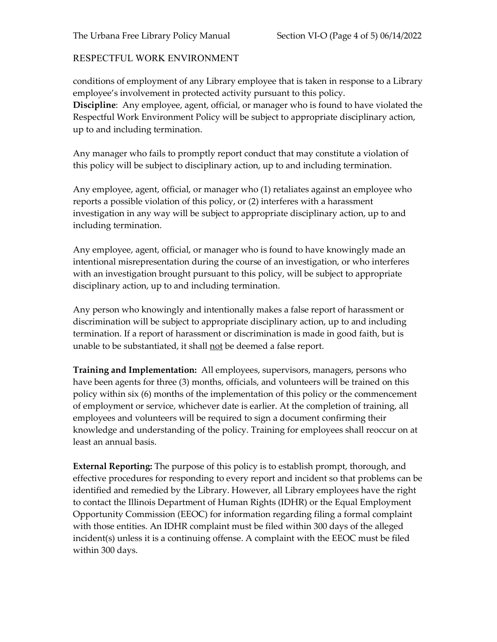## RESPECTFUL WORK ENVIRONMENT

conditions of employment of any Library employee that is taken in response to a Library employee's involvement in protected activity pursuant to this policy. **Discipline**: Any employee, agent, official, or manager who is found to have violated the Respectful Work Environment Policy will be subject to appropriate disciplinary action, up to and including termination.

Any manager who fails to promptly report conduct that may constitute a violation of this policy will be subject to disciplinary action, up to and including termination.

Any employee, agent, official, or manager who (1) retaliates against an employee who reports a possible violation of this policy, or (2) interferes with a harassment investigation in any way will be subject to appropriate disciplinary action, up to and including termination.

Any employee, agent, official, or manager who is found to have knowingly made an intentional misrepresentation during the course of an investigation, or who interferes with an investigation brought pursuant to this policy, will be subject to appropriate disciplinary action, up to and including termination.

Any person who knowingly and intentionally makes a false report of harassment or discrimination will be subject to appropriate disciplinary action, up to and including termination. If a report of harassment or discrimination is made in good faith, but is unable to be substantiated, it shall not be deemed a false report.

**Training and Implementation:** All employees, supervisors, managers, persons who have been agents for three (3) months, officials, and volunteers will be trained on this policy within six (6) months of the implementation of this policy or the commencement of employment or service, whichever date is earlier. At the completion of training, all employees and volunteers will be required to sign a document confirming their knowledge and understanding of the policy. Training for employees shall reoccur on at least an annual basis.

**External Reporting:** The purpose of this policy is to establish prompt, thorough, and effective procedures for responding to every report and incident so that problems can be identified and remedied by the Library. However, all Library employees have the right to contact the Illinois Department of Human Rights (IDHR) or the Equal Employment Opportunity Commission (EEOC) for information regarding filing a formal complaint with those entities. An IDHR complaint must be filed within 300 days of the alleged incident(s) unless it is a continuing offense. A complaint with the EEOC must be filed within 300 days.